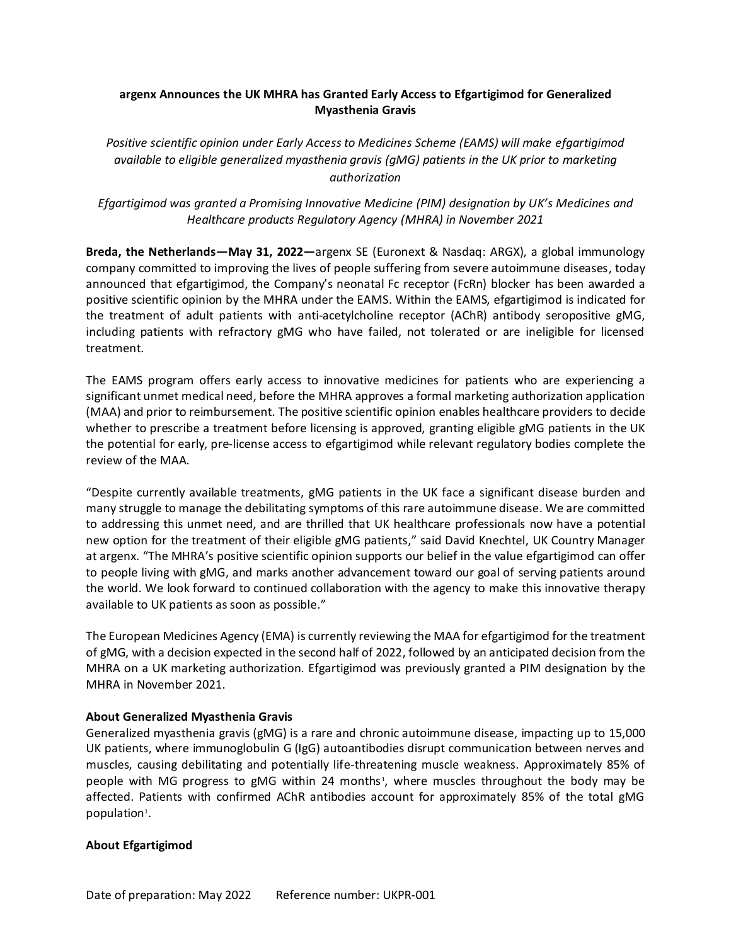# **argenx Announces the UK MHRA has Granted Early Access to Efgartigimod for Generalized Myasthenia Gravis**

*Positive scientific opinion under Early Access to Medicines Scheme (EAMS) will make efgartigimod available to eligible generalized myasthenia gravis (gMG) patients in the UK prior to marketing authorization*

*Efgartigimod was granted a Promising Innovative Medicine (PIM) designation by UK's Medicines and Healthcare products Regulatory Agency (MHRA) in November 2021*

**Breda, the Netherlands—May 31, 2022—**argenx SE (Euronext & Nasdaq: ARGX), a global immunology company committed to improving the lives of people suffering from severe autoimmune diseases, today announced that efgartigimod, the Company's neonatal Fc receptor (FcRn) blocker has been awarded a positive scientific opinion by the MHRA under the EAMS. Within the EAMS, efgartigimod is indicated for the treatment of adult patients with anti-acetylcholine receptor (AChR) antibody seropositive gMG, including patients with refractory gMG who have failed, not tolerated or are ineligible for licensed treatment.

The EAMS program offers early access to innovative medicines for patients who are experiencing a significant unmet medical need, before the MHRA approves a formal marketing authorization application (MAA) and prior to reimbursement. The positive scientific opinion enables healthcare providers to decide whether to prescribe a treatment before licensing is approved, granting eligible gMG patients in the UK the potential for early, pre-license access to efgartigimod while relevant regulatory bodies complete the review of the MAA.

"Despite currently available treatments, gMG patients in the UK face a significant disease burden and many struggle to manage the debilitating symptoms of this rare autoimmune disease. We are committed to addressing this unmet need, and are thrilled that UK healthcare professionals now have a potential new option for the treatment of their eligible gMG patients," said David Knechtel, UK Country Manager at argenx. "The MHRA's positive scientific opinion supports our belief in the value efgartigimod can offer to people living with gMG, and marks another advancement toward our goal of serving patients around the world. We look forward to continued collaboration with the agency to make this innovative therapy available to UK patients as soon as possible."

The European Medicines Agency (EMA) is currently reviewing the MAA for efgartigimod for the treatment of gMG, with a decision expected in the second half of 2022, followed by an anticipated decision from the MHRA on a UK marketing authorization. Efgartigimod was previously granted a PIM designation by the MHRA in November 2021.

## **About Generalized Myasthenia Gravis**

Generalized myasthenia gravis (gMG) is a rare and chronic autoimmune disease, impacting up to 15,000 UK patients, where immunoglobulin G (IgG) autoantibodies disrupt communication between nerves and muscles, causing debilitating and potentially life-threatening muscle weakness. Approximately 85% of people with MG progress to gMG within 24 months<sup>1</sup>, where muscles throughout the body may be affected. Patients with confirmed AChR antibodies account for approximately 85% of the total gMG population<sup>1</sup>.

## **About Efgartigimod**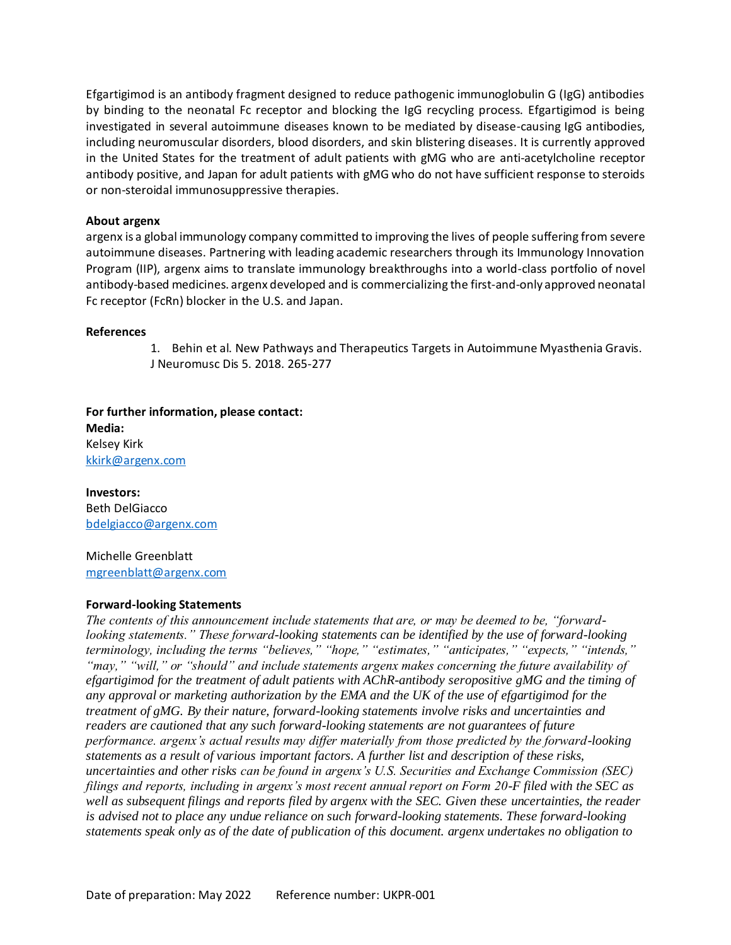Efgartigimod is an antibody fragment designed to reduce pathogenic immunoglobulin G (IgG) antibodies by binding to the neonatal Fc receptor and blocking the IgG recycling process. Efgartigimod is being investigated in several autoimmune diseases known to be mediated by disease-causing IgG antibodies, including neuromuscular disorders, blood disorders, and skin blistering diseases. It is currently approved in the United States for the treatment of adult patients with gMG who are anti-acetylcholine receptor antibody positive, and Japan for adult patients with gMG who do not have sufficient response to steroids or non-steroidal immunosuppressive therapies.

## **About argenx**

argenx is a global immunology company committed to improving the lives of people suffering from severe autoimmune diseases. Partnering with leading academic researchers through its Immunology Innovation Program (IIP), argenx aims to translate immunology breakthroughs into a world-class portfolio of novel antibody-based medicines. argenx developed and is commercializing the first-and-only approved neonatal Fc receptor (FcRn) blocker in the U.S. and Japan.

## **References**

1. Behin et al. New Pathways and Therapeutics Targets in Autoimmune Myasthenia Gravis. J Neuromusc Dis 5. 2018. 265-277

**For further information, please contact: Media:** Kelsey Kirk kkirk@argenx.com

**Investors:** Beth DelGiacco [bdelgiacco@argenx.com](mailto:bdelgiacco@argenx.com)

Michelle Greenblatt [mgreenblatt@argenx.com](mailto:mgreenblatt@argenx.com)

## **Forward-looking Statements**

*The contents of this announcement include statements that are, or may be deemed to be, "forwardlooking statements." These forward-looking statements can be identified by the use of forward-looking terminology, including the terms "believes," "hope," "estimates," "anticipates," "expects," "intends," "may," "will," or "should" and include statements argenx makes concerning the future availability of efgartigimod for the treatment of adult patients with AChR-antibody seropositive gMG and the timing of any approval or marketing authorization by the EMA and the UK of the use of efgartigimod for the treatment of gMG. By their nature, forward-looking statements involve risks and uncertainties and readers are cautioned that any such forward-looking statements are not guarantees of future performance. argenx's actual results may differ materially from those predicted by the forward-looking statements as a result of various important factors. A further list and description of these risks, uncertainties and other risks can be found in argenx's U.S. Securities and Exchange Commission (SEC) filings and reports, including in argenx's most recent annual report on Form 20-F filed with the SEC as well as subsequent filings and reports filed by argenx with the SEC. Given these uncertainties, the reader is advised not to place any undue reliance on such forward-looking statements. These forward-looking statements speak only as of the date of publication of this document. argenx undertakes no obligation to*